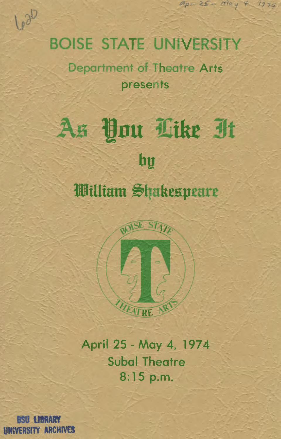## **BOISE STATE UNIVERSITY**

 $A_{\mu} = 25 - 1994 + 1974$ 

Department of Theatre Arts presents

# As You Like It hy William Shakespeare



April 25 - May 4, 1974 **Subal Theatre**  $8:15$  p.m.

**ENTERNATION UNIVERSITY ARCHIVES** 

1020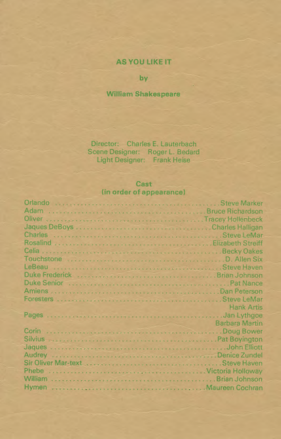### AS YOU LIKE IT

by

#### **William Shakespeare**

Director: Charles E. Lauterbach Scene Designer: Roger L. Bedard Light Designer: Frank Heise

#### Cast (in order of appearance)

| Orlando www.www.www.www.www.www.www.u.u.Steve Marker                                                                                                                                                                                 |
|--------------------------------------------------------------------------------------------------------------------------------------------------------------------------------------------------------------------------------------|
|                                                                                                                                                                                                                                      |
|                                                                                                                                                                                                                                      |
|                                                                                                                                                                                                                                      |
|                                                                                                                                                                                                                                      |
|                                                                                                                                                                                                                                      |
|                                                                                                                                                                                                                                      |
|                                                                                                                                                                                                                                      |
|                                                                                                                                                                                                                                      |
| Duke Frederick <b>Material Contract Contract Contract Contract Contract Contract Contract Contract Contract Contract Contract Contract Contract Contract Contract Contract Contract Contract Contract Contract Contract Contract</b> |
| Duke Senior interesting controlled the controlled controlled and part of the Senior Control of the Senior Control of the Senior Control of the Senior Control of the Senior Control of the Senior Control of the Senior Contro       |
|                                                                                                                                                                                                                                      |
|                                                                                                                                                                                                                                      |
| <b>Hank Artis</b><br><u> 1988 - Angeland III, mangkat sa Pang</u>                                                                                                                                                                    |
|                                                                                                                                                                                                                                      |
| and the contract of the contract of the Barbara Martin                                                                                                                                                                               |
|                                                                                                                                                                                                                                      |
| Silvius <b>Experience Communities</b> and the communities of Pat Boyington                                                                                                                                                           |
|                                                                                                                                                                                                                                      |
|                                                                                                                                                                                                                                      |
|                                                                                                                                                                                                                                      |
|                                                                                                                                                                                                                                      |
|                                                                                                                                                                                                                                      |
|                                                                                                                                                                                                                                      |
|                                                                                                                                                                                                                                      |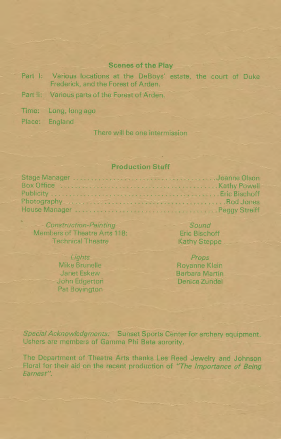#### **Scenes of the Play**

- Part I: Various locations at the DeBoys' estate, the court of Duke Frederick, and the Forest of Arden.
- Part II: Various parts of the Forest of Arden.
- Time: Long, long ago

Place: England

There will be one intermission

#### **Production Staff**

| Box Office <b>Construction Construction</b> and Construction Construction Rethy Powell |
|----------------------------------------------------------------------------------------|
|                                                                                        |
|                                                                                        |
|                                                                                        |

**Construction-Painting** Members of Theatre Arts 118: **Technical Theatre** 

> Lights Mike Brunelle Janet Eskew John Edgerton Pat Boyington

Sound **Eric Bischoff Kathy Steppe** 

Props Rovanne Klein **Barbara Martin** Denice Zundel

Special Acknowledgments: Sunset Sports Center for archery equipment. Ushers are members of Gamma Phi Beta sorority.

The Department of Theatre Arts thanks Lee Reed Jewelry and Johnson Floral for their aid on the recent production of "The Importance of Being Earnest".